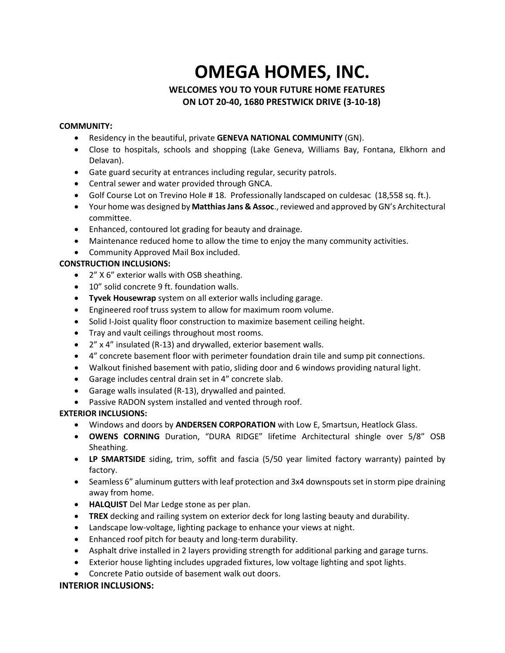# **OMEGA HOMES, INC.**

# **WELCOMES YOU TO YOUR FUTURE HOME FEATURES ON LOT 20-40, 1680 PRESTWICK DRIVE (3-10-18)**

### **COMMUNITY:**

- Residency in the beautiful, private **GENEVA NATIONAL COMMUNITY** (GN).
- Close to hospitals, schools and shopping (Lake Geneva, Williams Bay, Fontana, Elkhorn and Delavan).
- Gate guard security at entrances including regular, security patrols.
- Central sewer and water provided through GNCA.
- Golf Course Lot on Trevino Hole #18. Professionally landscaped on culdesac (18,558 sq. ft.).
- Your home was designed by **Matthias Jans & Assoc**., reviewed and approved by GN's Architectural committee.
- Enhanced, contoured lot grading for beauty and drainage.
- Maintenance reduced home to allow the time to enjoy the many community activities.
- Community Approved Mail Box included.

# **CONSTRUCTION INCLUSIONS:**

- 2" X 6" exterior walls with OSB sheathing.
- 10" solid concrete 9 ft. foundation walls.
- **Tyvek Housewrap** system on all exterior walls including garage.
- Engineered roof truss system to allow for maximum room volume.
- Solid I-Joist quality floor construction to maximize basement ceiling height.
- Tray and vault ceilings throughout most rooms.
- 2" x 4" insulated (R-13) and drywalled, exterior basement walls.
- 4" concrete basement floor with perimeter foundation drain tile and sump pit connections.
- Walkout finished basement with patio, sliding door and 6 windows providing natural light.
- Garage includes central drain set in 4" concrete slab.
- Garage walls insulated (R-13), drywalled and painted.
- Passive RADON system installed and vented through roof.

# **EXTERIOR INCLUSIONS:**

- Windows and doors by **ANDERSEN CORPORATION** with Low E, Smartsun, Heatlock Glass.
- **OWENS CORNING** Duration, "DURA RIDGE" lifetime Architectural shingle over 5/8" OSB Sheathing.
- **LP SMARTSIDE** siding, trim, soffit and fascia (5/50 year limited factory warranty) painted by factory.
- Seamless 6" aluminum gutters with leaf protection and 3x4 downspouts set in storm pipe draining away from home.
- **HALQUIST** Del Mar Ledge stone as per plan.
- **TREX** decking and railing system on exterior deck for long lasting beauty and durability.
- Landscape low-voltage, lighting package to enhance your views at night.
- Enhanced roof pitch for beauty and long-term durability.
- Asphalt drive installed in 2 layers providing strength for additional parking and garage turns.
- Exterior house lighting includes upgraded fixtures, low voltage lighting and spot lights.
- Concrete Patio outside of basement walk out doors.

# **INTERIOR INCLUSIONS:**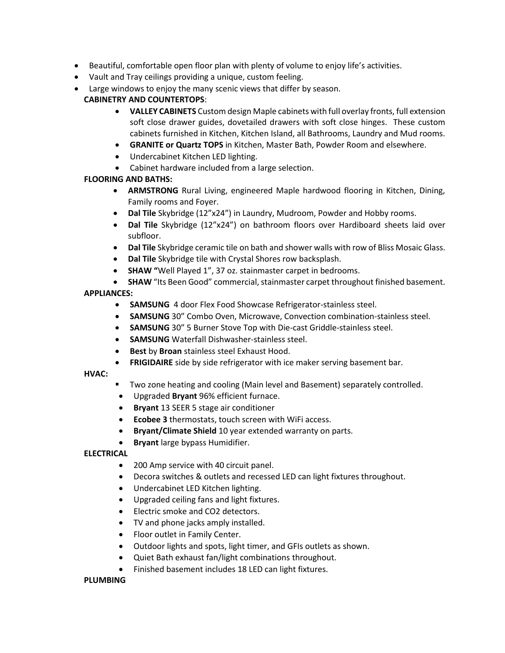- Beautiful, comfortable open floor plan with plenty of volume to enjoy life's activities.
- Vault and Tray ceilings providing a unique, custom feeling.
- Large windows to enjoy the many scenic views that differ by season.

# **CABINETRY AND COUNTERTOPS**:

- **VALLEY CABINETS** Custom design Maple cabinets with full overlay fronts, full extension soft close drawer guides, dovetailed drawers with soft close hinges. These custom cabinets furnished in Kitchen, Kitchen Island, all Bathrooms, Laundry and Mud rooms.
- **GRANITE or Quartz TOPS** in Kitchen, Master Bath, Powder Room and elsewhere.
- Undercabinet Kitchen LED lighting.
- Cabinet hardware included from a large selection.

# **FLOORING AND BATHS:**

- **ARMSTRONG** Rural Living, engineered Maple hardwood flooring in Kitchen, Dining, Family rooms and Foyer.
- **Dal Tile** Skybridge (12"x24") in Laundry, Mudroom, Powder and Hobby rooms.
- **Dal Tile** Skybridge (12"x24") on bathroom floors over Hardiboard sheets laid over subfloor.
- **Dal Tile** Skybridge ceramic tile on bath and shower walls with row of Bliss Mosaic Glass.
- **Dal Tile** Skybridge tile with Crystal Shores row backsplash.
- **SHAW "**Well Played 1", 37 oz. stainmaster carpet in bedrooms.
- **SHAW** "Its Been Good" commercial, stainmaster carpet throughout finished basement.

## **APPLIANCES:**

- **SAMSUNG** 4 door Flex Food Showcase Refrigerator-stainless steel.
- **SAMSUNG** 30" Combo Oven, Microwave, Convection combination-stainless steel.
- **SAMSUNG** 30" 5 Burner Stove Top with Die-cast Griddle-stainless steel.
- **SAMSUNG** Waterfall Dishwasher-stainless steel.
- **Best** by **Broan** stainless steel Exhaust Hood.
- **FRIGIDAIRE** side by side refrigerator with ice maker serving basement bar.

#### **HVAC:**

- Two zone heating and cooling (Main level and Basement) separately controlled.
- Upgraded **Bryant** 96% efficient furnace.
- **Bryant** 13 SEER 5 stage air conditioner
- **Ecobee 3** thermostats, touch screen with WiFi access.
- **Bryant/Climate Shield** 10 year extended warranty on parts.
- **Bryant** large bypass Humidifier.

#### **ELECTRICAL**

- 200 Amp service with 40 circuit panel.
- Decora switches & outlets and recessed LED can light fixtures throughout.
- Undercabinet LED Kitchen lighting.
- Upgraded ceiling fans and light fixtures.
- Electric smoke and CO2 detectors.
- TV and phone jacks amply installed.
- Floor outlet in Family Center.
- Outdoor lights and spots, light timer, and GFIs outlets as shown.
- Quiet Bath exhaust fan/light combinations throughout.
- Finished basement includes 18 LED can light fixtures.

#### **PLUMBING**